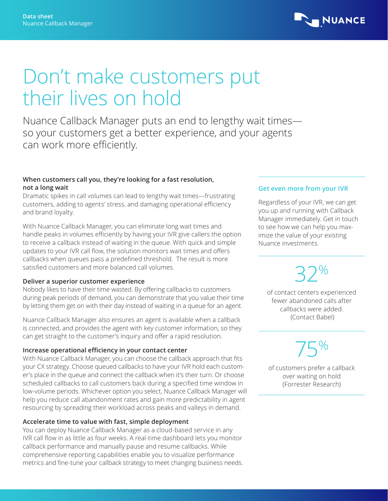

## Don't make customers put their lives on hold

Nuance Callback Manager puts an end to lengthy wait times so your customers get a better experience, and your agents can work more efficiently.

## **When customers call you, they're looking for a fast resolution, not a long wait**

Dramatic spikes in call volumes can lead to lengthy wait times—frustrating customers, adding to agents' stress, and damaging operational efficiency and brand loyalty.

With Nuance Callback Manager, you can eliminate long wait times and handle peaks in volumes efficiently by having your IVR give callers the option to receive a callback instead of waiting in the queue. With quick and simple updates to your IVR call flow, the solution monitors wait times and offers callbacks when queues pass a predefined threshold. The result is more satisfied customers and more balanced call volumes.

## **Deliver a superior customer experience**

Nobody likes to have their time wasted. By offering callbacks to customers during peak periods of demand, you can demonstrate that you value their time by letting them get on with their day instead of waiting in a queue for an agent.

Nuance Callback Manager also ensures an agent is available when a callback is connected, and provides the agent with key customer information, so they can get straight to the customer's inquiry and offer a rapid resolution.

## **Increase operational efficiency in your contact center**

With Nuance Callback Manager, you can choose the callback approach that fits your CX strategy. Choose queued callbacks to have your IVR hold each customer's place in the queue and connect the callback when it's their turn. Or choose scheduled callbacks to call customers back during a specified time window in low-volume periods. Whichever option you select, Nuance Callback Manager will help you reduce call abandonment rates and gain more predictability in agent resourcing by spreading their workload across peaks and valleys in demand.

## **Accelerate time to value with fast, simple deployment**

You can deploy Nuance Callback Manager as a cloud-based service in any IVR call flow in as little as four weeks. A real-time dashboard lets you monitor callback performance and manually pause and resume callbacks. While comprehensive reporting capabilities enable you to visualize performance metrics and fine-tune your callback strategy to meet changing business needs.

## **Get even more from your IVR**

Regardless of your IVR, we can get you up and running with Callback Manager immediately. Get in touch to see how we can help you maximize the value of your existing Nuance investments.

# 32%

of contact centers experienced fewer abandoned calls after callbacks were added. (Contact Babel)

75% of customers prefer a callback over waiting on hold (Forrester Research)